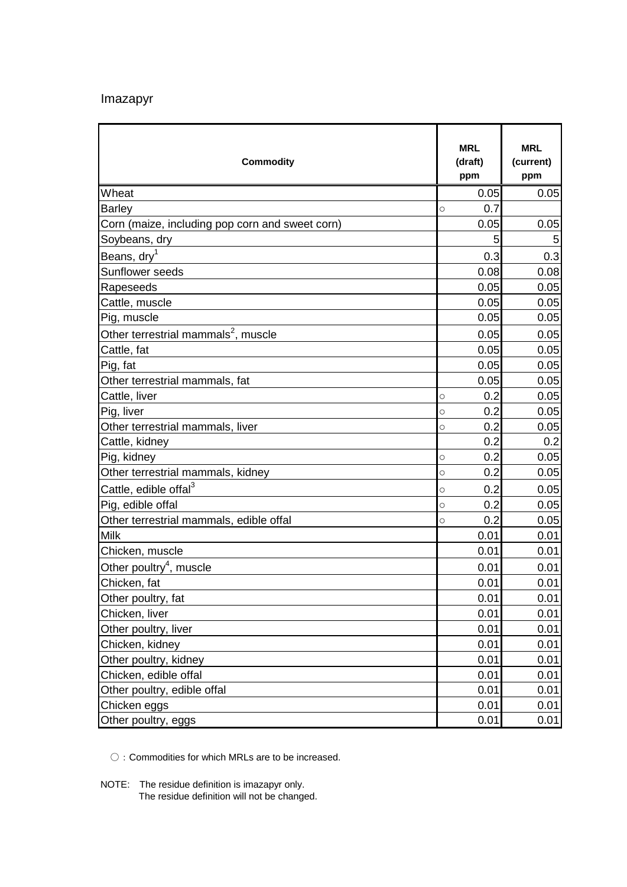## Imazapyr

| <b>Commodity</b>                                | <b>MRL</b><br>(draft)<br>ppm | <b>MRL</b><br>(current)<br>ppm |
|-------------------------------------------------|------------------------------|--------------------------------|
| Wheat                                           | 0.05                         | 0.05                           |
| <b>Barley</b>                                   | 0.7<br>$\bigcirc$            |                                |
| Corn (maize, including pop corn and sweet corn) | 0.05                         | 0.05                           |
| Soybeans, dry                                   | 5                            | 5                              |
| Beans, dry <sup>1</sup>                         | 0.3                          | 0.3                            |
| <b>Sunflower seeds</b>                          | 0.08                         | 0.08                           |
| Rapeseeds                                       | 0.05                         | 0.05                           |
| Cattle, muscle                                  | 0.05                         | 0.05                           |
| Pig, muscle                                     | 0.05                         | 0.05                           |
| Other terrestrial mammals <sup>2</sup> , muscle | 0.05                         | 0.05                           |
| Cattle, fat                                     | 0.05                         | 0.05                           |
| Pig, fat                                        | 0.05                         | 0.05                           |
| Other terrestrial mammals, fat                  | 0.05                         | 0.05                           |
| Cattle, liver                                   | 0.2<br>$\bigcirc$            | 0.05                           |
| Pig, liver                                      | 0.2<br>$\circ$               | 0.05                           |
| Other terrestrial mammals, liver                | 0.2<br>O                     | 0.05                           |
| Cattle, kidney                                  | 0.2                          | 0.2                            |
| Pig, kidney                                     | 0.2<br>$\bigcirc$            | 0.05                           |
| Other terrestrial mammals, kidney               | 0.2<br>$\circ$               | 0.05                           |
| Cattle, edible offal <sup>3</sup>               | 0.2<br>$\bigcirc$            | 0.05                           |
| Pig, edible offal                               | 0.2<br>$\circ$               | 0.05                           |
| Other terrestrial mammals, edible offal         | 0.2<br>$\bigcirc$            | 0.05                           |
| <b>Milk</b>                                     | 0.01                         | 0.01                           |
| Chicken, muscle                                 | 0.01                         | 0.01                           |
| Other poultry <sup>4</sup> , muscle             | 0.01                         | 0.01                           |
| Chicken, fat                                    | 0.01                         | 0.01                           |
| Other poultry, fat                              | 0.01                         | 0.01                           |
| Chicken, liver                                  | 0.01                         | 0.01                           |
| Other poultry, liver                            | 0.01                         | 0.01                           |
| Chicken, kidney                                 | 0.01                         | 0.01                           |
| Other poultry, kidney                           | 0.01                         | 0.01                           |
| Chicken, edible offal                           | 0.01                         | 0.01                           |
| Other poultry, edible offal                     | 0.01                         | 0.01                           |
| Chicken eggs                                    | 0.01                         | 0.01                           |
| Other poultry, eggs                             | 0.01                         | 0.01                           |

○: Commodities for which MRLs are to be increased.

NOTE: The residue definition is imazapyr only.

The residue definition will not be changed.